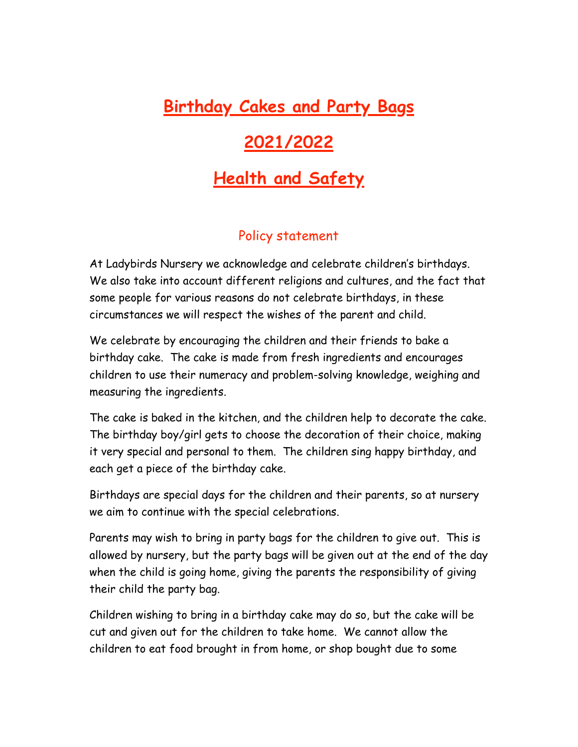## **Birthday Cakes and Party Bags**

## **2021/2022**

## **Health and Safety**

## Policy statement

At Ladybirds Nursery we acknowledge and celebrate children's birthdays. We also take into account different religions and cultures, and the fact that some people for various reasons do not celebrate birthdays, in these circumstances we will respect the wishes of the parent and child.

We celebrate by encouraging the children and their friends to bake a birthday cake. The cake is made from fresh ingredients and encourages children to use their numeracy and problem-solving knowledge, weighing and measuring the ingredients.

The cake is baked in the kitchen, and the children help to decorate the cake. The birthday boy/girl gets to choose the decoration of their choice, making it very special and personal to them. The children sing happy birthday, and each get a piece of the birthday cake.

Birthdays are special days for the children and their parents, so at nursery we aim to continue with the special celebrations.

Parents may wish to bring in party bags for the children to give out. This is allowed by nursery, but the party bags will be given out at the end of the day when the child is going home, giving the parents the responsibility of giving their child the party bag.

Children wishing to bring in a birthday cake may do so, but the cake will be cut and given out for the children to take home. We cannot allow the children to eat food brought in from home, or shop bought due to some